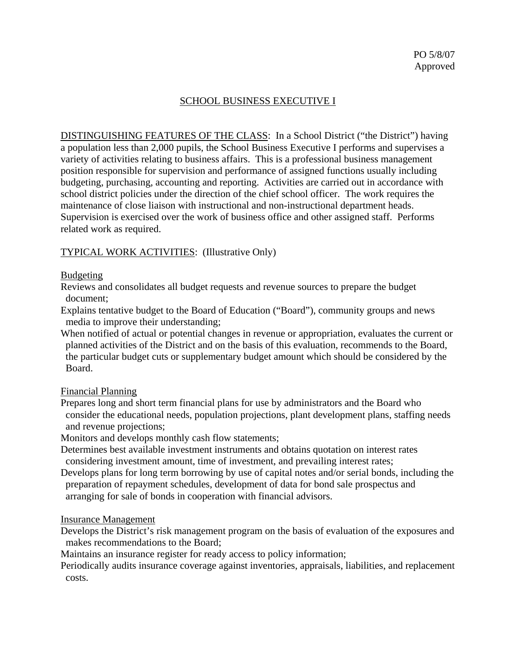# SCHOOL BUSINESS EXECUTIVE I

DISTINGUISHING FEATURES OF THE CLASS: In a School District ("the District") having a population less than 2,000 pupils, the School Business Executive I performs and supervises a variety of activities relating to business affairs. This is a professional business management position responsible for supervision and performance of assigned functions usually including budgeting, purchasing, accounting and reporting. Activities are carried out in accordance with school district policies under the direction of the chief school officer. The work requires the maintenance of close liaison with instructional and non-instructional department heads. Supervision is exercised over the work of business office and other assigned staff. Performs related work as required.

### TYPICAL WORK ACTIVITIES: (Illustrative Only)

### Budgeting

Reviews and consolidates all budget requests and revenue sources to prepare the budget document;

Explains tentative budget to the Board of Education ("Board"), community groups and news media to improve their understanding;

When notified of actual or potential changes in revenue or appropriation, evaluates the current or planned activities of the District and on the basis of this evaluation, recommends to the Board, the particular budget cuts or supplementary budget amount which should be considered by the Board.

### Financial Planning

Prepares long and short term financial plans for use by administrators and the Board who consider the educational needs, population projections, plant development plans, staffing needs and revenue projections;

Monitors and develops monthly cash flow statements;

- Determines best available investment instruments and obtains quotation on interest rates considering investment amount, time of investment, and prevailing interest rates;
- Develops plans for long term borrowing by use of capital notes and/or serial bonds, including the preparation of repayment schedules, development of data for bond sale prospectus and arranging for sale of bonds in cooperation with financial advisors.

### Insurance Management

Develops the District's risk management program on the basis of evaluation of the exposures and makes recommendations to the Board;

Maintains an insurance register for ready access to policy information;

Periodically audits insurance coverage against inventories, appraisals, liabilities, and replacement costs.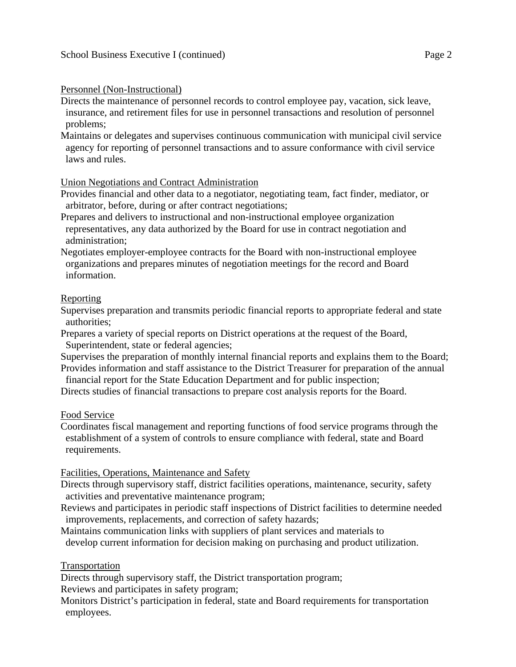### Personnel (Non-Instructional)

Directs the maintenance of personnel records to control employee pay, vacation, sick leave, insurance, and retirement files for use in personnel transactions and resolution of personnel problems;

Maintains or delegates and supervises continuous communication with municipal civil service agency for reporting of personnel transactions and to assure conformance with civil service laws and rules.

### Union Negotiations and Contract Administration

Provides financial and other data to a negotiator, negotiating team, fact finder, mediator, or arbitrator, before, during or after contract negotiations;

Prepares and delivers to instructional and non-instructional employee organization representatives, any data authorized by the Board for use in contract negotiation and administration;

Negotiates employer-employee contracts for the Board with non-instructional employee organizations and prepares minutes of negotiation meetings for the record and Board information.

### Reporting

Supervises preparation and transmits periodic financial reports to appropriate federal and state authorities;

Prepares a variety of special reports on District operations at the request of the Board, Superintendent, state or federal agencies;

Supervises the preparation of monthly internal financial reports and explains them to the Board; Provides information and staff assistance to the District Treasurer for preparation of the annual

financial report for the State Education Department and for public inspection;

Directs studies of financial transactions to prepare cost analysis reports for the Board.

### Food Service

Coordinates fiscal management and reporting functions of food service programs through the establishment of a system of controls to ensure compliance with federal, state and Board requirements.

### Facilities, Operations, Maintenance and Safety

Directs through supervisory staff, district facilities operations, maintenance, security, safety activities and preventative maintenance program;

Reviews and participates in periodic staff inspections of District facilities to determine needed improvements, replacements, and correction of safety hazards;

Maintains communication links with suppliers of plant services and materials to develop current information for decision making on purchasing and product utilization.

### Transportation

Directs through supervisory staff, the District transportation program;

Reviews and participates in safety program;

Monitors District's participation in federal, state and Board requirements for transportation employees.